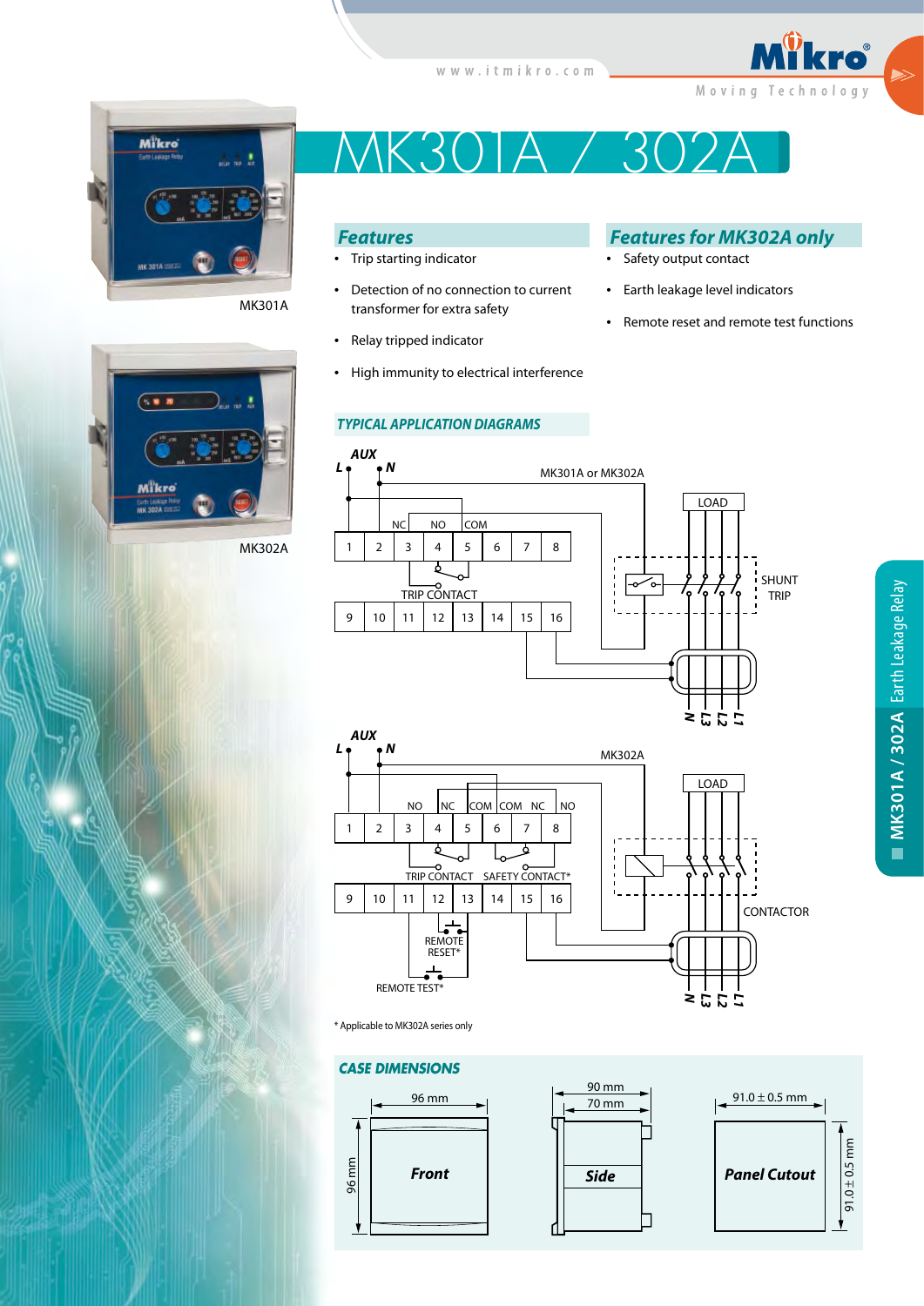

MK301A



MK301A / 302A

# *Features*

- Trip starting indicator
- Detection of no connection to current transformer for extra safety
- Relay tripped indicator
- High immunity to electrical interference

# *TYPICAL APPLICATION DIAGRAMS*

# *Features for MK302A only*

Moving Technology

- Safety output contact
- Earth leakage level indicators
- Remote reset and remote test functions



 $\blacktriangleright$ 



\* Applicable to MK302A series only

### *CASE DIMENSIONS*